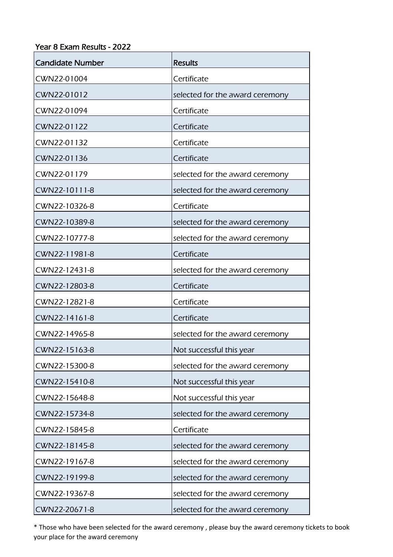## Year 8 Exam Results - 2022

| <b>Candidate Number</b> | <b>Results</b>                  |
|-------------------------|---------------------------------|
| CWN22-01004             | Certificate                     |
| CWN22-01012             | selected for the award ceremony |
| CWN22-01094             | Certificate                     |
| CWN22-01122             | Certificate                     |
| CWN22-01132             | Certificate                     |
| CWN22-01136             | Certificate                     |
| CWN22-01179             | selected for the award ceremony |
| CWN22-10111-8           | selected for the award ceremony |
| CWN22-10326-8           | Certificate                     |
| CWN22-10389-8           | selected for the award ceremony |
| CWN22-10777-8           | selected for the award ceremony |
| CWN22-11981-8           | Certificate                     |
| CWN22-12431-8           | selected for the award ceremony |
| CWN22-12803-8           | Certificate                     |
| CWN22-12821-8           | Certificate                     |
| CWN22-14161-8           | Certificate                     |
| CWN22-14965-8           | selected for the award ceremony |
| CWN22-15163-8           | Not successful this year        |
| CWN22-15300-8           | selected for the award ceremony |
| CWN22-15410-8           | Not successful this year        |
| CWN22-15648-8           | Not successful this year        |
| CWN22-15734-8           | selected for the award ceremony |
| CWN22-15845-8           | Certificate                     |
| CWN22-18145-8           | selected for the award ceremony |
| CWN22-19167-8           | selected for the award ceremony |
| CWN22-19199-8           | selected for the award ceremony |
| CWN22-19367-8           | selected for the award ceremony |
| CWN22-20671-8           | selected for the award ceremony |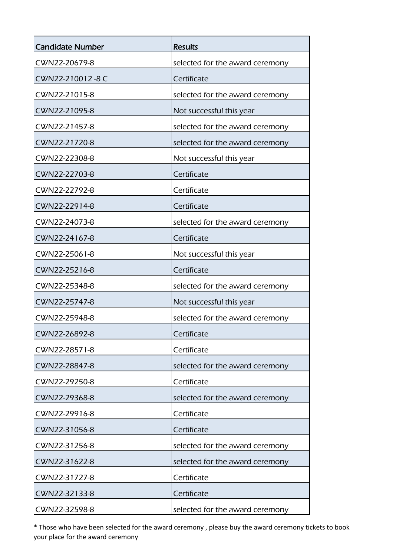| <b>Candidate Number</b> | <b>Results</b>                  |
|-------------------------|---------------------------------|
| CWN22-20679-8           | selected for the award ceremony |
| CWN22-210012-8C         | Certificate                     |
| CWN22-21015-8           | selected for the award ceremony |
| CWN22-21095-8           | Not successful this year        |
| CWN22-21457-8           | selected for the award ceremony |
| CWN22-21720-8           | selected for the award ceremony |
| CWN22-22308-8           | Not successful this year        |
| CWN22-22703-8           | Certificate                     |
| CWN22-22792-8           | Certificate                     |
| CWN22-22914-8           | Certificate                     |
| CWN22-24073-8           | selected for the award ceremony |
| CWN22-24167-8           | Certificate                     |
| CWN22-25061-8           | Not successful this year        |
| CWN22-25216-8           | Certificate                     |
| CWN22-25348-8           | selected for the award ceremony |
| CWN22-25747-8           | Not successful this year        |
| CWN22-25948-8           | selected for the award ceremony |
| CWN22-26892-8           | Certificate                     |
| CWN22-28571-8           | Certificate                     |
| CWN22-28847-8           | selected for the award ceremony |
| CWN22-29250-8           | Certificate                     |
| CWN22-29368-8           | selected for the award ceremony |
| CWN22-29916-8           | Certificate                     |
| CWN22-31056-8           | Certificate                     |
| CWN22-31256-8           | selected for the award ceremony |
| CWN22-31622-8           | selected for the award ceremony |
| CWN22-31727-8           | Certificate                     |
| CWN22-32133-8           | Certificate                     |
| CWN22-32598-8           | selected for the award ceremony |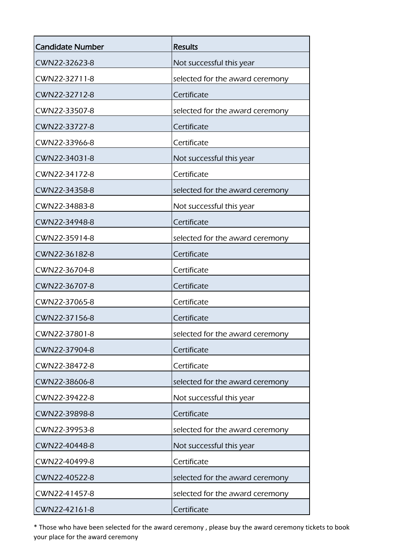| <b>Candidate Number</b> | <b>Results</b>                  |
|-------------------------|---------------------------------|
| CWN22-32623-8           | Not successful this year        |
| CWN22-32711-8           | selected for the award ceremony |
| CWN22-32712-8           | Certificate                     |
| CWN22-33507-8           | selected for the award ceremony |
| CWN22-33727-8           | Certificate                     |
| CWN22-33966-8           | Certificate                     |
| CWN22-34031-8           | Not successful this year        |
| CWN22-34172-8           | Certificate                     |
| CWN22-34358-8           | selected for the award ceremony |
| CWN22-34883-8           | Not successful this year        |
| CWN22-34948-8           | Certificate                     |
| CWN22-35914-8           | selected for the award ceremony |
| CWN22-36182-8           | Certificate                     |
| CWN22-36704-8           | Certificate                     |
| CWN22-36707-8           | Certificate                     |
| CWN22-37065-8           | Certificate                     |
| CWN22-37156-8           | Certificate                     |
| CWN22-37801-8           | selected for the award ceremony |
| CWN22-37904-8           | Certificate                     |
| CWN22-38472-8           | Certificate                     |
| CWN22-38606-8           | selected for the award ceremony |
| CWN22-39422-8           | Not successful this year        |
| CWN22-39898-8           | Certificate                     |
| CWN22-39953-8           | selected for the award ceremony |
| CWN22-40448-8           | Not successful this year        |
| CWN22-40499-8           | Certificate                     |
| CWN22-40522-8           | selected for the award ceremony |
| CWN22-41457-8           | selected for the award ceremony |
| CWN22-42161-8           | Certificate                     |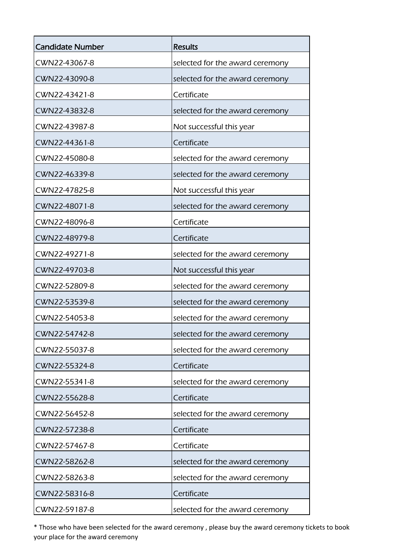| <b>Candidate Number</b> | <b>Results</b>                  |
|-------------------------|---------------------------------|
| CWN22-43067-8           | selected for the award ceremony |
| CWN22-43090-8           | selected for the award ceremony |
| CWN22-43421-8           | Certificate                     |
| CWN22-43832-8           | selected for the award ceremony |
| CWN22-43987-8           | Not successful this year        |
| CWN22-44361-8           | Certificate                     |
| CWN22-45080-8           | selected for the award ceremony |
| CWN22-46339-8           | selected for the award ceremony |
| CWN22-47825-8           | Not successful this year        |
| CWN22-48071-8           | selected for the award ceremony |
| CWN22-48096-8           | Certificate                     |
| CWN22-48979-8           | Certificate                     |
| CWN22-49271-8           | selected for the award ceremony |
| CWN22-49703-8           | Not successful this year        |
| CWN22-52809-8           | selected for the award ceremony |
| CWN22-53539-8           | selected for the award ceremony |
| CWN22-54053-8           | selected for the award ceremony |
| CWN22-54742-8           | selected for the award ceremony |
| CWN22-55037-8           | selected for the award ceremony |
| CWN22-55324-8           | Certificate                     |
| CWN22-55341-8           | selected for the award ceremony |
| CWN22-55628-8           | Certificate                     |
| CWN22-56452-8           | selected for the award ceremony |
| CWN22-57238-8           | Certificate                     |
| CWN22-57467-8           | Certificate                     |
| CWN22-58262-8           | selected for the award ceremony |
| CWN22-58263-8           | selected for the award ceremony |
| CWN22-58316-8           | Certificate                     |
| CWN22-59187-8           | selected for the award ceremony |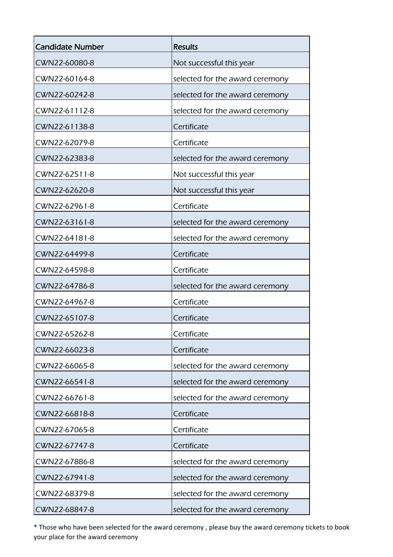| <b>Candidate Number</b> | <b>Results</b>                  |
|-------------------------|---------------------------------|
| CWN22-60080-8           | Not successful this year        |
| CWN22-60164-8           | selected for the award ceremony |
| CWN22-60242-8           | selected for the award ceremony |
| CWN22-61112-8           | selected for the award ceremony |
| CWN22-61138-8           | Certificate                     |
| CWN22-62079-8           | Certificate                     |
| CWN22-62383-8           | selected for the award ceremony |
| CWN22-62511-8           | Not successful this year        |
| CWN22-62620-8           | Not successful this year        |
| CWN22-62961-8           | Certificate                     |
| CWN22-63161-8           | selected for the award ceremony |
| CWN22-64181-8           | selected for the award ceremony |
| CWN22-64499-8           | Certificate                     |
| CWN22-64598-8           | Certificate                     |
| CWN22-64786-8           | selected for the award ceremony |
| CWN22-64967-8           | Certificate                     |
| CWN22-65107-8           | Certificate                     |
| CWN22-65262-8           | Certificate                     |
| CWN22-66023-8           | Certificate                     |
| CWN22-66065-8           | selected for the award ceremony |
| CWN22-66541-8           | selected for the award ceremony |
| CWN22-66761-8           | selected for the award ceremony |
| CWN22-66818-8           | Certificate                     |
| CWN22-67065-8           | Certificate                     |
| CWN22-67747-8           | Certificate                     |
| CWN22-67886-8           | selected for the award ceremony |
| CWN22-67941-8           | selected for the award ceremony |
| CWN22-68379-8           | selected for the award ceremony |
| CWN22-68847-8           | selected for the award ceremony |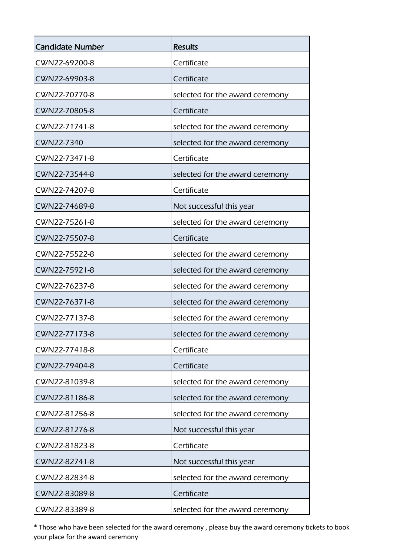| <b>Candidate Number</b> | <b>Results</b>                  |
|-------------------------|---------------------------------|
| CWN22-69200-8           | Certificate                     |
| CWN22-69903-8           | Certificate                     |
| CWN22-70770-8           | selected for the award ceremony |
| CWN22-70805-8           | Certificate                     |
| CWN22-71741-8           | selected for the award ceremony |
| CWN22-7340              | selected for the award ceremony |
| CWN22-73471-8           | Certificate                     |
| CWN22-73544-8           | selected for the award ceremony |
| CWN22-74207-8           | Certificate                     |
| CWN22-74689-8           | Not successful this year        |
| CWN22-75261-8           | selected for the award ceremony |
| CWN22-75507-8           | Certificate                     |
| CWN22-75522-8           | selected for the award ceremony |
| CWN22-75921-8           | selected for the award ceremony |
| CWN22-76237-8           | selected for the award ceremony |
| CWN22-76371-8           | selected for the award ceremony |
| CWN22-77137-8           | selected for the award ceremony |
| CWN22-77173-8           | selected for the award ceremony |
| CWN22-77418-8           | Certificate                     |
| CWN22-79404-8           | Certificate                     |
| CWN22-81039-8           | selected for the award ceremony |
| CWN22-81186-8           | selected for the award ceremony |
| CWN22-81256-8           | selected for the award ceremony |
| CWN22-81276-8           | Not successful this year        |
| CWN22-81823-8           | Certificate                     |
| CWN22-82741-8           | Not successful this year        |
| CWN22-82834-8           | selected for the award ceremony |
| CWN22-83089-8           | Certificate                     |
| CWN22-83389-8           | selected for the award ceremony |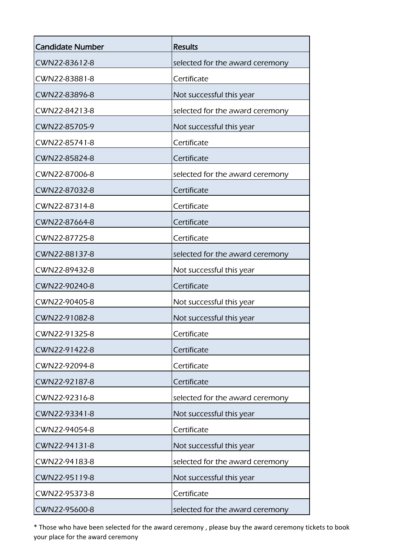| <b>Candidate Number</b> | <b>Results</b>                  |
|-------------------------|---------------------------------|
| CWN22-83612-8           | selected for the award ceremony |
| CWN22-83881-8           | Certificate                     |
| CWN22-83896-8           | Not successful this year        |
| CWN22-84213-8           | selected for the award ceremony |
| CWN22-85705-9           | Not successful this year        |
| CWN22-85741-8           | Certificate                     |
| CWN22-85824-8           | Certificate                     |
| CWN22-87006-8           | selected for the award ceremony |
| CWN22-87032-8           | Certificate                     |
| CWN22-87314-8           | Certificate                     |
| CWN22-87664-8           | Certificate                     |
| CWN22-87725-8           | Certificate                     |
| CWN22-88137-8           | selected for the award ceremony |
| CWN22-89432-8           | Not successful this year        |
| CWN22-90240-8           | Certificate                     |
| CWN22-90405-8           | Not successful this year        |
| CWN22-91082-8           | Not successful this year        |
| CWN22-91325-8           | Certificate                     |
| CWN22-91422-8           | Certificate                     |
| CWN22-92094-8           | Certificate                     |
| CWN22-92187-8           | Certificate                     |
| CWN22-92316-8           | selected for the award ceremony |
| CWN22-93341-8           | Not successful this year        |
| CWN22-94054-8           | Certificate                     |
| CWN22-94131-8           | Not successful this year        |
| CWN22-94183-8           | selected for the award ceremony |
| CWN22-95119-8           | Not successful this year        |
| CWN22-95373-8           | Certificate                     |
| CWN22-95600-8           | selected for the award ceremony |